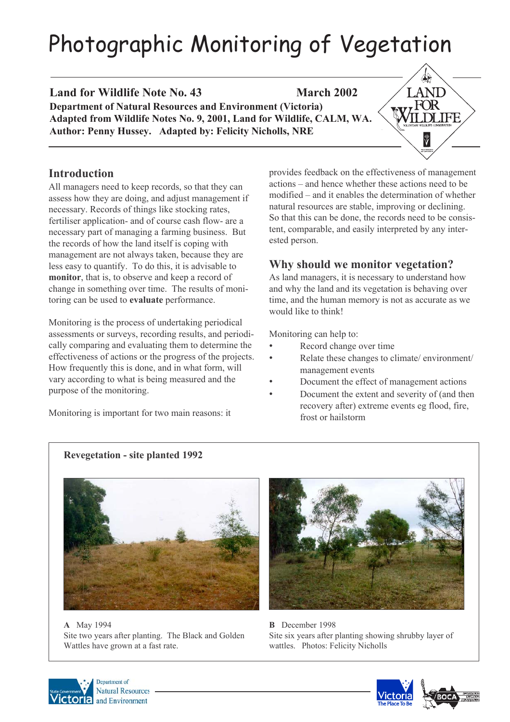# Photographic Monitoring of Vegetation

**Land for Wildlife Note No. 43** March 2002 **Department of Natural Resources and Environment (Victoria) Adapted from Wildlife Notes No. 9, 2001, Land for Wildlife, CALM, WA. Author: Penny Hussey. Adapted by: Felicity Nicholls, NRE**

## **Introduction**

All managers need to keep records, so that they can assess how they are doing, and adjust management if necessary. Records of things like stocking rates, fertiliser application- and of course cash flow- are a necessary part of managing a farming business. But the records of how the land itself is coping with management are not always taken, because they are less easy to quantify. To do this, it is advisable to **monitor**, that is, to observe and keep a record of change in something over time. The results of monitoring can be used to **evaluate** performance.

Monitoring is the process of undertaking periodical assessments or surveys, recording results, and periodically comparing and evaluating them to determine the effectiveness of actions or the progress of the projects. How frequently this is done, and in what form, will vary according to what is being measured and the purpose of the monitoring.

Monitoring is important for two main reasons: it

provides feedback on the effectiveness of management actions – and hence whether these actions need to be modified – and it enables the determination of whether natural resources are stable, improving or declining. So that this can be done, the records need to be consistent, comparable, and easily interpreted by any interested person.

**LAND** -FOR

Ÿ

## **Why should we monitor vegetation?**

As land managers, it is necessary to understand how and why the land and its vegetation is behaving over time, and the human memory is not as accurate as we would like to think!

Monitoring can help to:

- Record change over time
- Relate these changes to climate/ environment/ management events
- Document the effect of management actions
- Document the extent and severity of (and then recovery after) extreme events eg flood, fire, frost or hailstorm

## **Revegetation - site planted 1992**



**A** May 1994 Site two years after planting. The Black and Golden Wattles have grown at a fast rate.



**B** December 1998 Site six years after planting showing shrubby layer of wattles. Photos: Felicity Nicholls



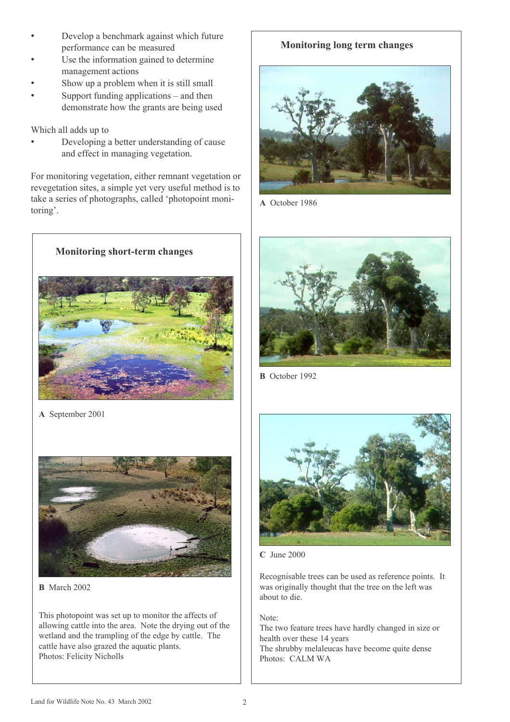- Develop a benchmark against which future performance can be measured
- Use the information gained to determine management actions
- Show up a problem when it is still small
- Support funding applications and then demonstrate how the grants are being used

Which all adds up to

• Developing a better understanding of cause and effect in managing vegetation.

For monitoring vegetation, either remnant vegetation or revegetation sites, a simple yet very useful method is to take a series of photographs, called 'photopoint monitoring'.



**A** September 2001



**B** March 2002

This photopoint was set up to monitor the affects of allowing cattle into the area. Note the drying out of the wetland and the trampling of the edge by cattle. The cattle have also grazed the aquatic plants. Photos: Felicity Nicholls

## **Monitoring long term changes**



**A** October 1986



**B** October 1992



**C** June 2000

Recognisable trees can be used as reference points. It was originally thought that the tree on the left was about to die.

Note:

The two feature trees have hardly changed in size or health over these 14 years

The shrubby melaleucas have become quite dense Photos: CALM WA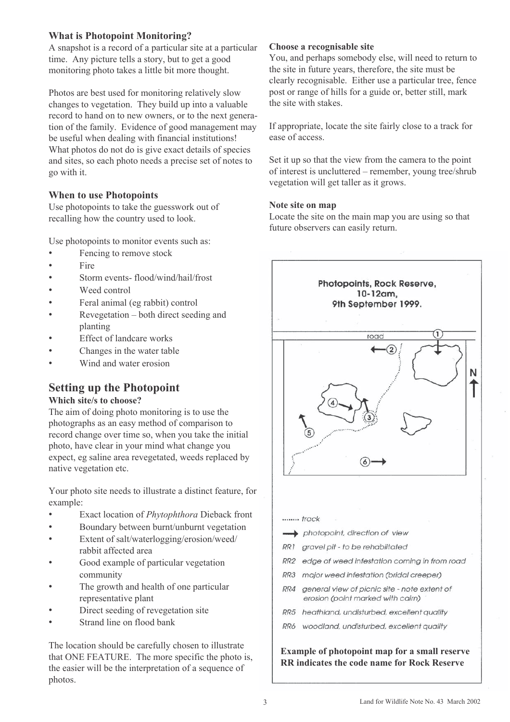### **What is Photopoint Monitoring?**

A snapshot is a record of a particular site at a particular time. Any picture tells a story, but to get a good monitoring photo takes a little bit more thought.

Photos are best used for monitoring relatively slow changes to vegetation. They build up into a valuable record to hand on to new owners, or to the next generation of the family. Evidence of good management may be useful when dealing with financial institutions! What photos do not do is give exact details of species and sites, so each photo needs a precise set of notes to go with it.

#### **When to use Photopoints**

Use photopoints to take the guesswork out of recalling how the country used to look.

Use photopoints to monitor events such as:

- Fencing to remove stock
- Fire
- Storm events- flood/wind/hail/frost
- Weed control
- Feral animal (eg rabbit) control
- Revegetation both direct seeding and planting
- Effect of landcare works
- Changes in the water table
- Wind and water erosion

# **Setting up the Photopoint**

#### **Which site/s to choose?**

The aim of doing photo monitoring is to use the photographs as an easy method of comparison to record change over time so, when you take the initial photo, have clear in your mind what change you expect, eg saline area revegetated, weeds replaced by native vegetation etc.

Your photo site needs to illustrate a distinct feature, for example:

- Exact location of *Phytophthora* Dieback front
- Boundary between burnt/unburnt vegetation
- Extent of salt/waterlogging/erosion/weed/ rabbit affected area
- Good example of particular vegetation community
- The growth and health of one particular representative plant
- Direct seeding of revegetation site
- Strand line on flood bank

The location should be carefully chosen to illustrate that ONE FEATURE. The more specific the photo is, the easier will be the interpretation of a sequence of photos.

#### **Choose a recognisable site**

You, and perhaps somebody else, will need to return to the site in future years, therefore, the site must be clearly recognisable. Either use a particular tree, fence post or range of hills for a guide or, better still, mark the site with stakes.

If appropriate, locate the site fairly close to a track for ease of access.

Set it up so that the view from the camera to the point of interest is uncluttered – remember, young tree/shrub vegetation will get taller as it grows.

#### **Note site on map**

Locate the site on the main map you are using so that future observers can easily return.



- gravel pit to be rehabiltated RR1
- $RR2$ edge of weed infestation coming in from road
- RR3 major weed infestation (bridal creeper)
- $RR4$ general view of picnic site - note extent of erosion (point marked with cairn)
- RR5 heathland, undisturbed, excellent quality
- RR6 woodland, undisturbed, excellent quality

**Example of photopoint map for a small reserve RR indicates the code name for Rock Reserve**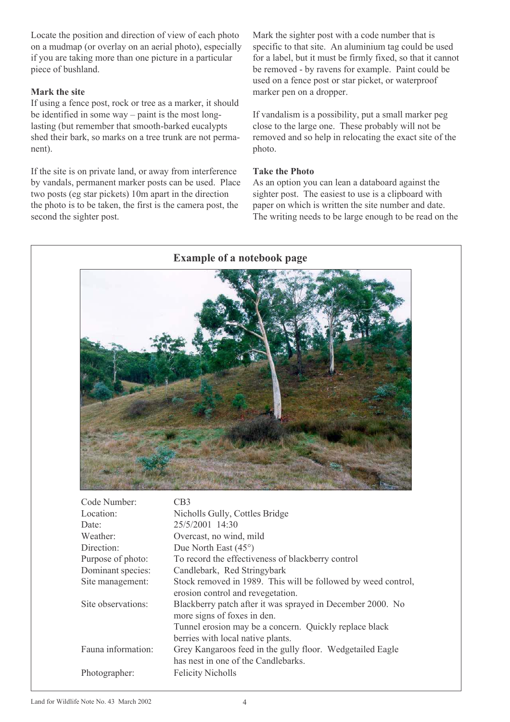Locate the position and direction of view of each photo on a mudmap (or overlay on an aerial photo), especially if you are taking more than one picture in a particular piece of bushland.

#### **Mark the site**

If using a fence post, rock or tree as a marker, it should be identified in some way – paint is the most longlasting (but remember that smooth-barked eucalypts shed their bark, so marks on a tree trunk are not permanent).

If the site is on private land, or away from interference by vandals, permanent marker posts can be used. Place two posts (eg star pickets) 10m apart in the direction the photo is to be taken, the first is the camera post, the second the sighter post.

Mark the sighter post with a code number that is specific to that site. An aluminium tag could be used for a label, but it must be firmly fixed, so that it cannot be removed - by ravens for example. Paint could be used on a fence post or star picket, or waterproof marker pen on a dropper.

If vandalism is a possibility, put a small marker peg close to the large one. These probably will not be removed and so help in relocating the exact site of the photo.

#### **Take the Photo**

As an option you can lean a databoard against the sighter post. The easiest to use is a clipboard with paper on which is written the site number and date. The writing needs to be large enough to be read on the



| Code Number:       | U.B.                                                                                               |
|--------------------|----------------------------------------------------------------------------------------------------|
| Location:          | Nicholls Gully, Cottles Bridge                                                                     |
| Date:              | 25/5/2001 14:30                                                                                    |
| Weather:           | Overcast, no wind, mild                                                                            |
| Direction:         | Due North East $(45^{\circ})$                                                                      |
| Purpose of photo:  | To record the effectiveness of blackberry control                                                  |
| Dominant species:  | Candlebark, Red Stringybark                                                                        |
| Site management:   | Stock removed in 1989. This will be followed by weed control,<br>erosion control and revegetation. |
| Site observations: | Blackberry patch after it was sprayed in December 2000. No<br>more signs of foxes in den.          |
|                    | Tunnel erosion may be a concern. Quickly replace black                                             |
|                    | berries with local native plants.                                                                  |
| Fauna information: | Grey Kangaroos feed in the gully floor. Wedgetailed Eagle                                          |
|                    | has nest in one of the Candlebarks.                                                                |
| Photographer:      | <b>Felicity Nicholls</b>                                                                           |
|                    |                                                                                                    |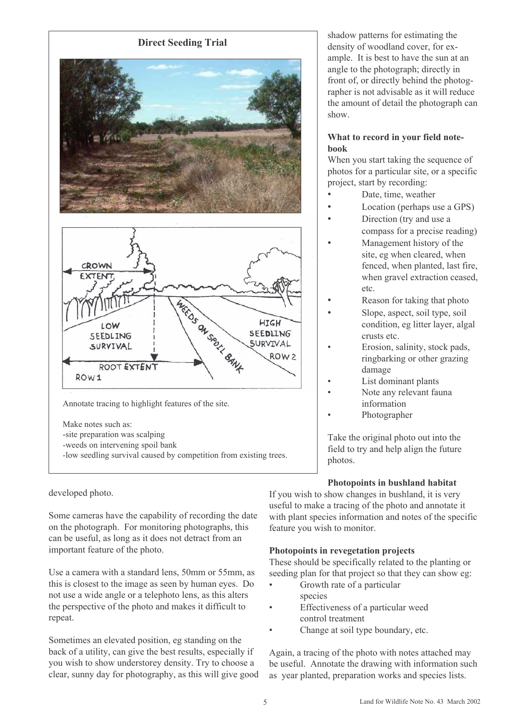

developed photo.

Some cameras have the capability of recording the date on the photograph. For monitoring photographs, this can be useful, as long as it does not detract from an important feature of the photo.

Use a camera with a standard lens, 50mm or 55mm, as this is closest to the image as seen by human eyes. Do not use a wide angle or a telephoto lens, as this alters the perspective of the photo and makes it difficult to repeat.

Sometimes an elevated position, eg standing on the back of a utility, can give the best results, especially if you wish to show understorey density. Try to choose a clear, sunny day for photography, as this will give good shadow patterns for estimating the density of woodland cover, for example. It is best to have the sun at an angle to the photograph; directly in front of, or directly behind the photographer is not advisable as it will reduce the amount of detail the photograph can show.

#### **What to record in your field notebook**

When you start taking the sequence of photos for a particular site, or a specific project, start by recording:

- Date, time, weather
- Location (perhaps use a GPS)
- Direction (try and use a compass for a precise reading)
- Management history of the site, eg when cleared, when fenced, when planted, last fire, when gravel extraction ceased, etc.
- Reason for taking that photo
- Slope, aspect, soil type, soil condition, eg litter layer, algal crusts etc.
- Erosion, salinity, stock pads, ringbarking or other grazing damage
- List dominant plants
- Note any relevant fauna information
- Photographer

Take the original photo out into the field to try and help align the future photos.

#### **Photopoints in bushland habitat**

If you wish to show changes in bushland, it is very useful to make a tracing of the photo and annotate it with plant species information and notes of the specific feature you wish to monitor.

#### **Photopoints in revegetation projects**

These should be specifically related to the planting or seeding plan for that project so that they can show eg:

- Growth rate of a particular species
- Effectiveness of a particular weed control treatment
- Change at soil type boundary, etc.

Again, a tracing of the photo with notes attached may be useful. Annotate the drawing with information such as year planted, preparation works and species lists.